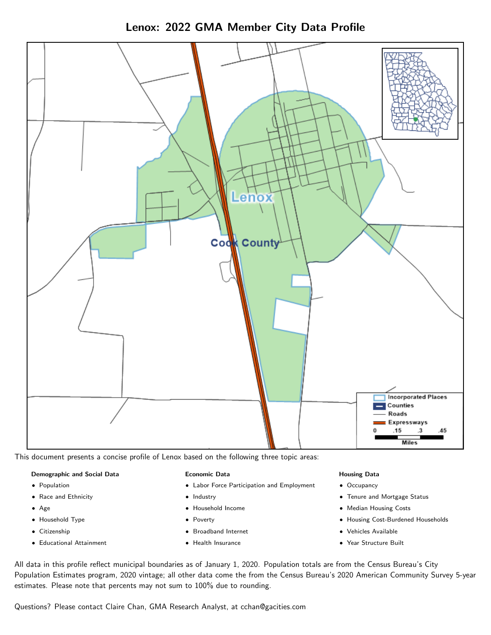Lenox: 2022 GMA Member City Data Profile



This document presents a concise profile of Lenox based on the following three topic areas:

### Demographic and Social Data

- **•** Population
- Race and Ethnicity
- Age
- Household Type
- **Citizenship**
- Educational Attainment

### Economic Data

- Labor Force Participation and Employment
- Industry
- Household Income
- Poverty
- Broadband Internet
- Health Insurance

### Housing Data

- Occupancy
- Tenure and Mortgage Status
- Median Housing Costs
- Housing Cost-Burdened Households
- Vehicles Available
- Year Structure Built

All data in this profile reflect municipal boundaries as of January 1, 2020. Population totals are from the Census Bureau's City Population Estimates program, 2020 vintage; all other data come the from the Census Bureau's 2020 American Community Survey 5-year estimates. Please note that percents may not sum to 100% due to rounding.

Questions? Please contact Claire Chan, GMA Research Analyst, at [cchan@gacities.com.](mailto:cchan@gacities.com)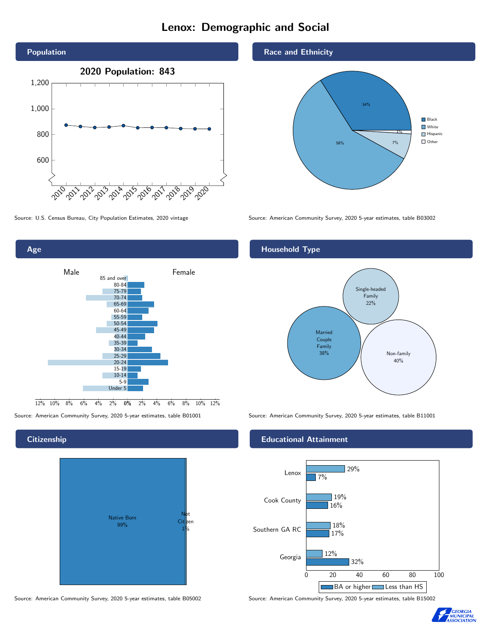# Lenox: Demographic and Social



Age Male **Female** 85 and over 80-84 75-79 70-74 65-69 60-64 55-59 50-54 45-49 40-44 35-39 30-34 25-29 20-24 15-19 10-14 5-9 Under 5

0% 2% 4% 6% 8% 10% 12%

Source: American Community Survey, 2020 5-year estimates, table B01001 Source: American Community Survey, 2020 5-year estimates, table B11001

## **Citizenship**

 $12\%$  10% 8% 6% 4%



Source: American Community Survey, 2020 5-year estimates, table B05002 Source: American Community Survey, 2020 5-year estimates, table B15002

## Race and Ethnicity



Source: U.S. Census Bureau, City Population Estimates, 2020 vintage Source: American Community Survey, 2020 5-year estimates, table B03002

## Household Type



## Educational Attainment



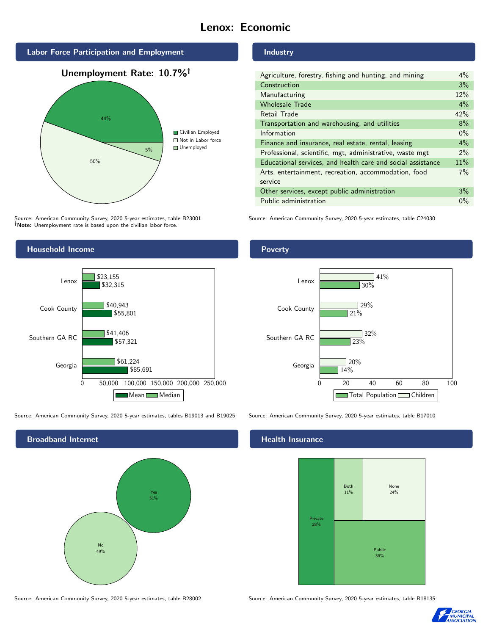# Lenox: Economic







Source: American Community Survey, 2020 5-year estimates, table B23001 Note: Unemployment rate is based upon the civilian labor force.



| Agriculture, forestry, fishing and hunting, and mining      | $4\%$ |
|-------------------------------------------------------------|-------|
| Construction                                                | 3%    |
| Manufacturing                                               | 12%   |
| <b>Wholesale Trade</b>                                      | 4%    |
| Retail Trade                                                | 42%   |
| Transportation and warehousing, and utilities               | 8%    |
| Information                                                 | $0\%$ |
| Finance and insurance, real estate, rental, leasing         | $4\%$ |
| Professional, scientific, mgt, administrative, waste mgt    | $2\%$ |
| Educational services, and health care and social assistance | 11%   |
| Arts, entertainment, recreation, accommodation, food        | 7%    |
| service                                                     |       |
| Other services, except public administration                | 3%    |
| Public administration                                       | $0\%$ |

Source: American Community Survey, 2020 5-year estimates, table C24030



Source: American Community Survey, 2020 5-year estimates, tables B19013 and B19025 Source: American Community Survey, 2020 5-year estimates, table B17010



Source: American Community Survey, 2020 5-year estimates, table B28002 Source: American Community Survey, 2020 5-year estimates, table B18135

Poverty



# **Health Insurance**